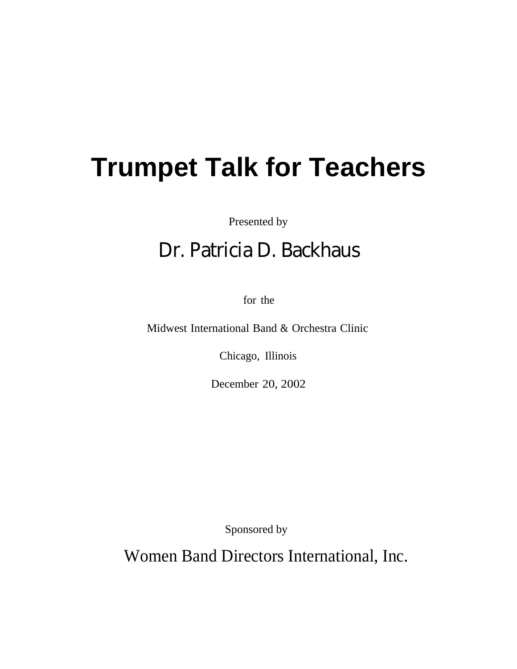# **Trumpet Talk for Teachers**

Presented by

# Dr. Patricia D. Backhaus

for the

Midwest International Band & Orchestra Clinic

Chicago, Illinois

December 20, 2002

Sponsored by

Wornen Women Band Directors International, Inc.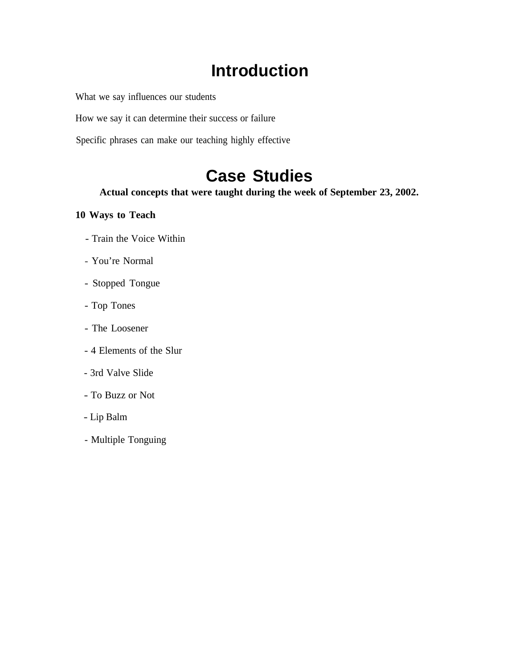#### **Introduction**

What we say influences our students

How we say it can determine their success or failure

Specific phrases can make our teaching highly effective

# **Case Studies**

**Actual concepts that were taught during the week of September 23, 2002.**

#### **10 Ways to Teach**

- Train the Voice Within
- You're Normal
- Stopped Tongue
- Top Tones
- The Loosener
- 4 Elements of the Slur
- 3rd Valve Slide
- To Buzz or Not
- Lip Balm
- Multiple Tonguing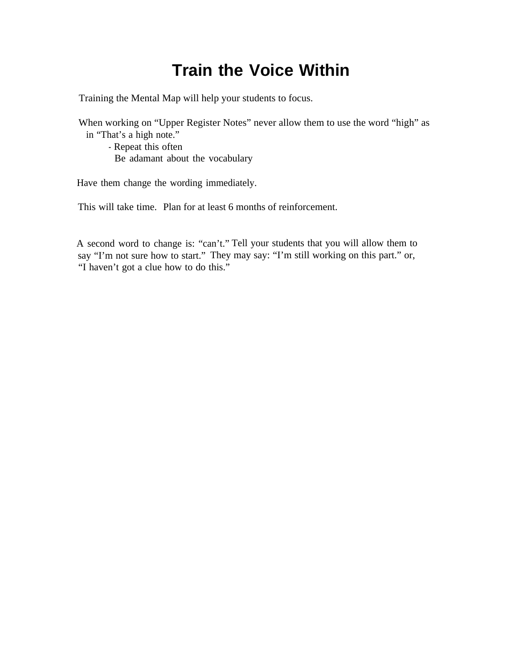### **Train the Voice Within**

Training the Mental Map will help your students to focus.

When working on "Upper Register Notes" never allow them to use the word "high" as in "That's a high note."

- Repeat this often Be adamant about the vocabulary

Have them change the wording immediately.

This will take time. Plan for at least 6 months of reinforcement.

A second word to change is: "can't." Tell your students that you will allow them to say "I'm not sure how to start." They may say: "I'm still working on this part." or, "I haven't got a clue how to do this."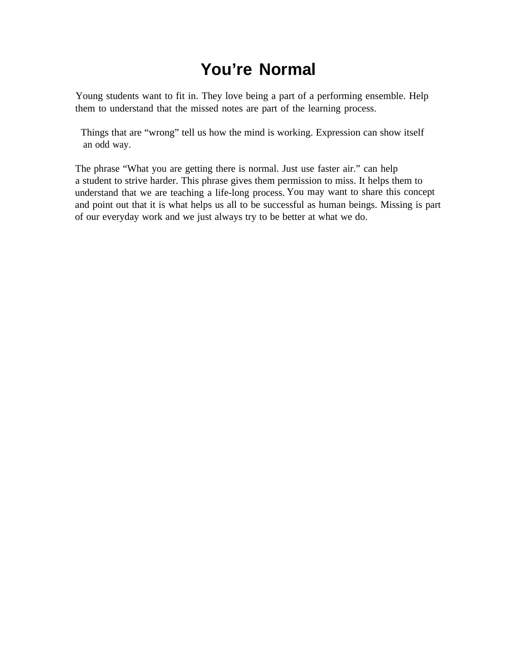### **You're Normal**

Young students want to fit in. They love being a part of a performing ensemble. Help them to understand that the missed notes are part of the learning process.

 Things that are "wrong" tell us how the mind is working. Expression can show itself an odd way.

The phrase "What you are getting there is normal. Just use faster air." can help a student to strive harder. This phrase gives them permission to miss. It helps them to understand that we are teaching a life-long process. You may want to share this concept and point out that it is what helps us all to be successful as human beings. Missing is part of our everyday work and we just always try to be better at what we do.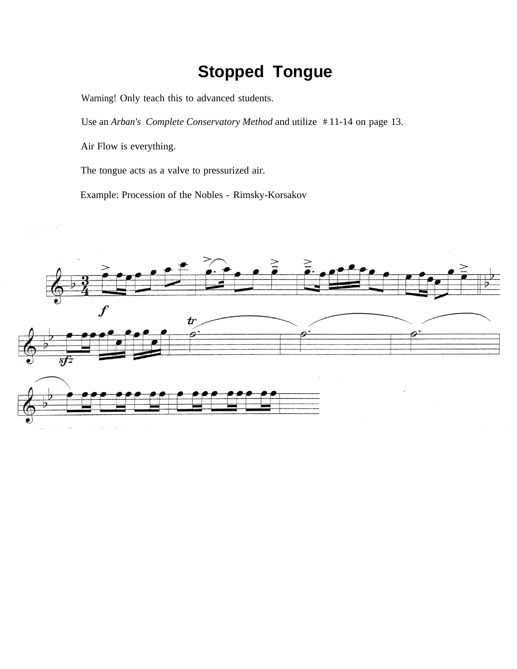## **Stopped Tongue**

Warning! Only teach this to advanced students.

Use an *Arban's Complete Conservatory Method* and utilize # 11-14 on page 13.

Air Flow is everything.

The tongue acts as a valve to pressurized air.

Example: Procession of the Nobles - Rimsky-Korsakov

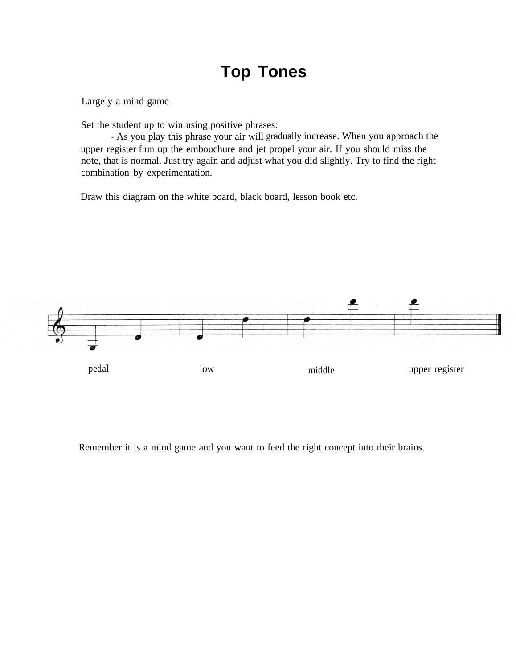#### **Top Tones**

Largely a mind game

Set the student up to win using positive phrases:

- As you play this phrase your air will gradually increase. When you approach the upper register firm up the embouchure and jet propel your air. If you should miss the note, that is normal. Just try again and adjust what you did slightly. Try to find the right combination by experimentation.

Draw this diagram on the white board, black board, lesson book etc.



Remember it is a mind game and you want to feed the right concept into their brains.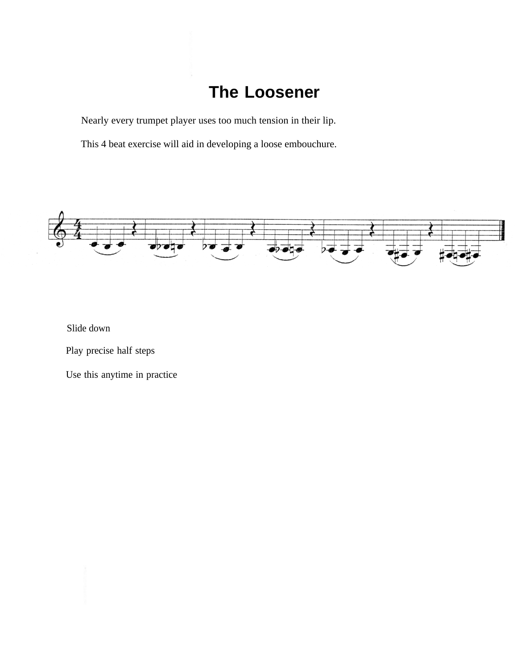#### **The Loosener**

Nearly every trumpet player uses too much tension in their lip.

This 4 beat exercise will aid in developing a loose embouchure.



Slide down

Play precise half steps

Use this anytime in practice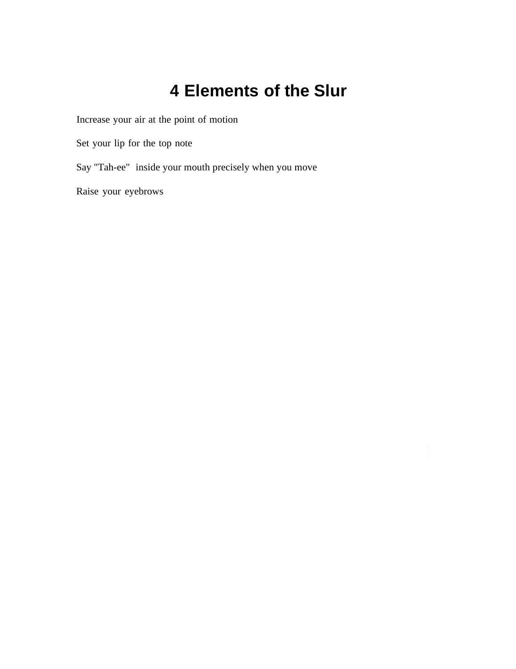#### **4 Elements of the Slur**

Increase your air at the point of motion

Set your lip for the top note

Say "Tah-ee" inside your mouth precisely when you move

Raise your eyebrows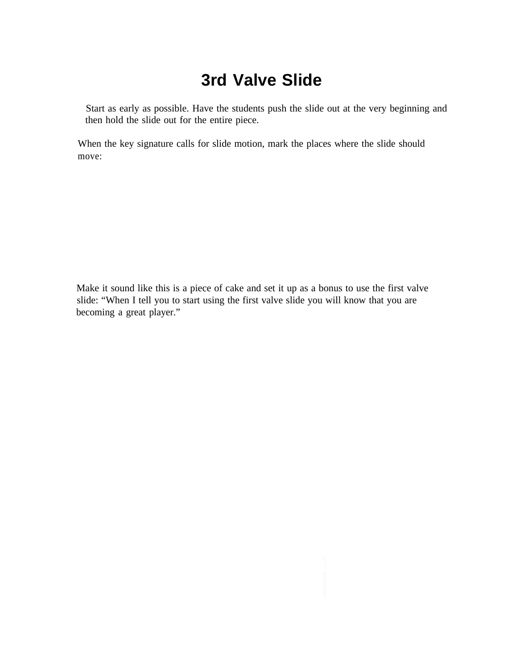### **3rd Valve Slide**

 Start as early as possible. Have the students push the slide out at the very beginning and then hold the slide out for the entire piece.

When the key signature calls for slide motion, mark the places where the slide should move:

Make it sound like this is a piece of cake and set it up as a bonus to use the first valve slide: "When I tell you to start using the first valve slide you will know that you are becoming a great player."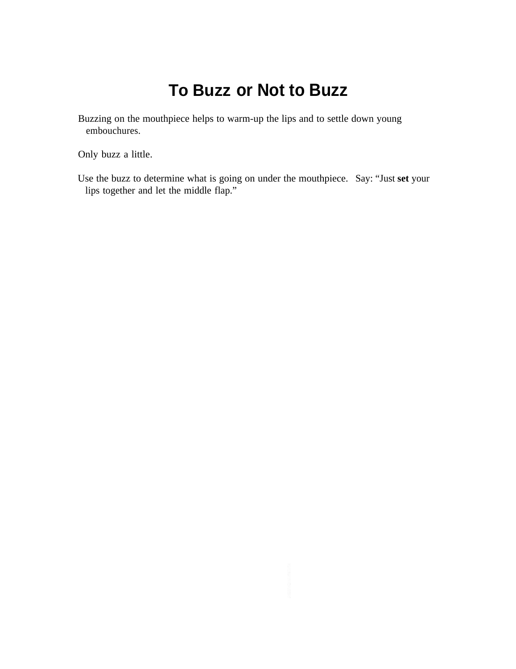#### **To Buzz or Not to Buzz**

Buzzing on the mouthpiece helps to warm-up the lips and to settle down young embouchures.

Only buzz a little.

Use the buzz to determine what is going on under the mouthpiece. Say: "Just **set** your lips together and let the middle flap."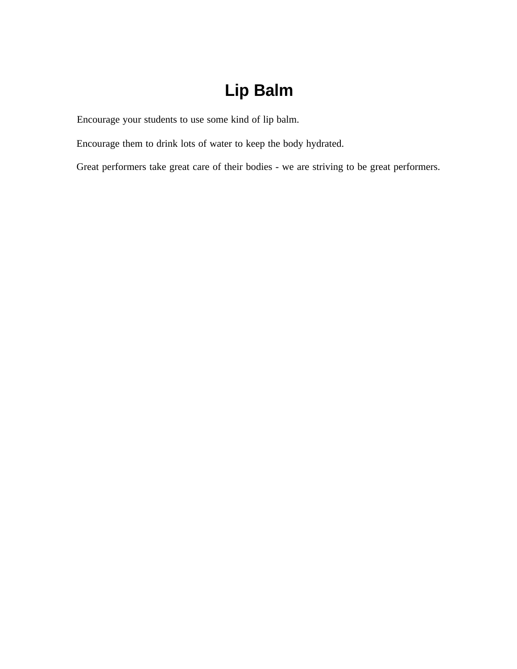### **Lip Balm**

Encourage your students to use some kind of lip balm.

Encourage them to drink lots of water to keep the body hydrated.

Great performers take great care of their bodies - we are striving to be great performers.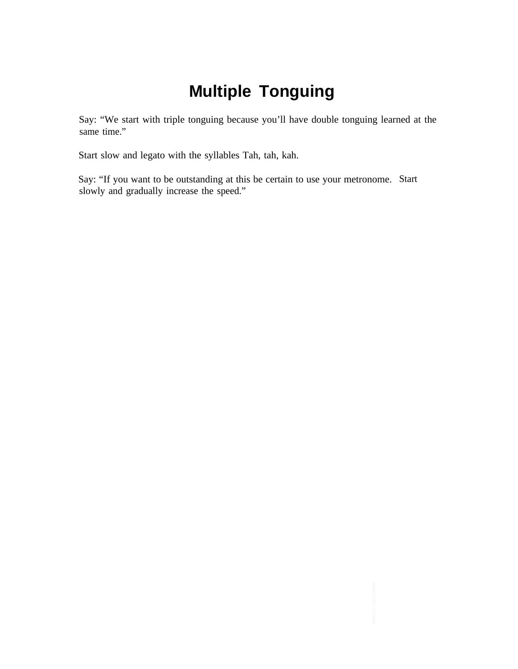# **Multiple Tonguing**

Say: "We start with triple tonguing because you'll have double tonguing learned at the same time."

Start slow and legato with the syllables Tah, tah, kah.

Say: "If you want to be outstanding at this be certain to use your metronome. Start slowly and gradually increase the speed."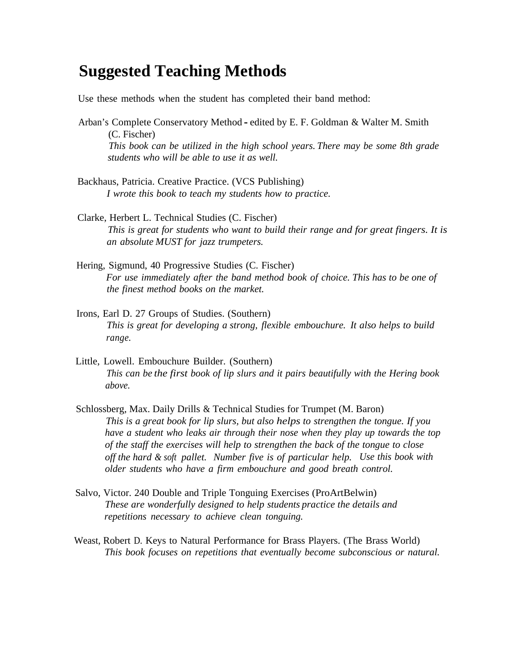#### **Suggested Teaching Methods**

Use these methods when the student has completed their band method:

- Arban's Complete Conservatory Method edited by E. F. Goldman & Walter M. Smith (C. Fischer) *This book can be utilized in the high school years. There may be some 8th grade students who will be able to use it as well.*
- Backhaus, Patricia. Creative Practice. (VCS Publishing) *I wrote this book to teach my students how to practice.*
- Clarke, Herbert L. Technical Studies (C. Fischer) *This is great for students who want to build their range and for great fingers. It is an absolute MUST for jazz trumpeters.*
- Hering, Sigmund, 40 Progressive Studies (C. Fischer) *For use immediately after the band method book of choice. This has to be one of the finest method books on the market.*
- Irons, Earl D. 27 Groups of Studies. (Southern) *This is great for developing a strong, flexible embouchure. It also helps to build range.*
- Little, Lowell. Embouchure Builder. (Southern) *This can be the first book of lip slurs and it pairs beautifully with the Hering book above.*
- Schlossberg, Max. Daily Drills & Technical Studies for Trumpet (M. Baron) *This is a great book for lip slurs, but also helps to strengthen the tongue. If you have a student who leaks air through their nose when they play up towards the top of the staff the exercises will help to strengthen the back of the tongue to close off the hard & soft pallet. Number five is of particular help. Use this book with older students who have a firm embouchure and good breath control.*
- Salvo, Victor. 240 Double and Triple Tonguing Exercises (ProArtBelwin) *These are wonderfully designed to help students practice the details and repetitions necessary to achieve clean tonguing.*
- Weast, Robert D. Keys to Natural Performance for Brass Players. (The Brass World) *This book focuses on repetitions that eventually become subconscious or natural.*